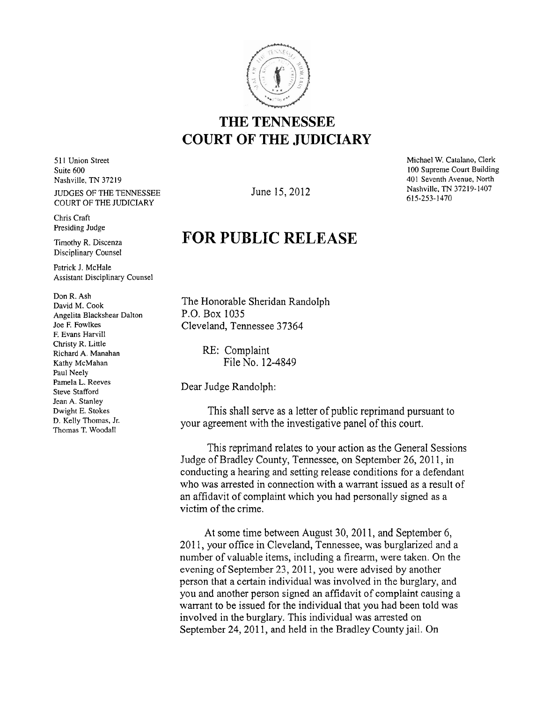

## **THE TENNESSEE COURT OF THE JUDICIARY**

**5** 1 1 Union Street Suite 600 Nashville, TN **372** 19 JUDGES OF THE TENNESSEE COURT OF THE JUDICIARY

Chris Craft Presiding Judge

Timothy R. Discenza Disciplinary Counsel

Patrick J. McHale Assistant Disciplinary Counsel

Don R. Ash David M. Cook Angelita Blackshear Dalton Joe **F.** Fowlkes F. Evans Harvill Christy R. Little Richard A. Manahan Kathy McMahan Paul Neely Pamela L. Reeves Steve Stafford Jean A. Stanley Dwight E. Stokes D. Kelly Thomas, Jr. Thomas T. Woodall

June 15,2012

Michael W. Catalano, Clerk 100 Supreme Court Building 401 Seventh Avenue, North Nashville, TN 37219-1407 615-253-1470

## **FOR PUBLIC RELEASE**

The Honorable Sheridan Randolph P.O. Box 1035 Cleveland, Tennessee 37364

> RE: Complaint File No. 12-4849

Dear Judge Randolph:

This shall serve as a letter of public reprimand pursuant to your agreement with the investigative panel of this court.

This reprimand relates to your action as the General Sessions Judge of Bradley County, Tennessee, on September 26, 2011, in conducting a hearing and setting release conditions for a defendant who was arrested in connection with a warrant issued as a result of an affidavit of complaint which you had personally signed as a victim of the crime.

At some time between August 30, 2011, and September 6, 2011, your office in Cleveland, Tennessee, was burglarized and a number of valuable items, including a firearm, were taken. On the evening of September 23, 2011, you were advised by another person that a certain individual was involved in the burglary, and you and another person signed an affidavit of complaint causing a warrant to be issued for the individual that you had been told was involved in the burglary. This individual was arrested on September 24, 2011, and held in the Bradley County jail. On